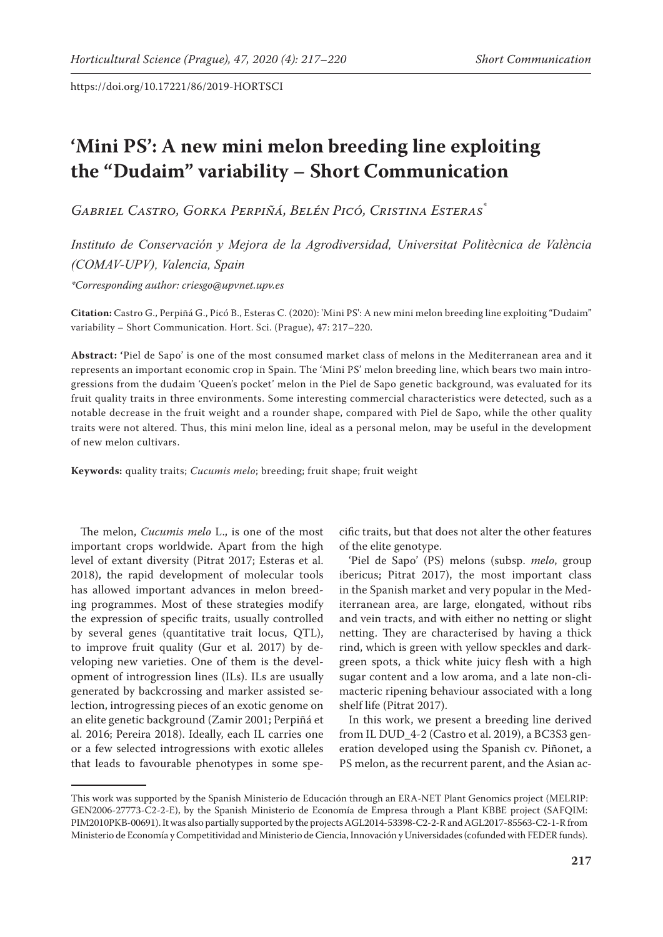# **'Mini PS': A new mini melon breeding line exploiting the "Dudaim" variability – Short Communication**

*Gabriel Castro, Gorka Perpiñá, Belén Picó, Cristina Esteras\**

*Instituto de Conservación y Mejora de la Agrodiversidad, Universitat Politècnica de València (COMAV-UPV), Valencia, Spain*

*\*Corresponding author: criesgo@upvnet.upv.es*

**Citation:** Castro G., Perpiñá G., Picó B., Esteras C. (2020): 'Mini PS': A new mini melon breeding line exploiting "Dudaim" variability – Short Communication. Hort. Sci. (Prague), 47: 217–220.

**Abstract: '**Piel de Sapo' is one of the most consumed market class of melons in the Mediterranean area and it represents an important economic crop in Spain. The 'Mini PS' melon breeding line, which bears two main introgressions from the dudaim 'Queen's pocket' melon in the Piel de Sapo genetic background, was evaluated for its fruit quality traits in three environments. Some interesting commercial characteristics were detected, such as a notable decrease in the fruit weight and a rounder shape, compared with Piel de Sapo, while the other quality traits were not altered. Thus, this mini melon line, ideal as a personal melon, may be useful in the development of new melon cultivars.

**Keywords:** quality traits; *Cucumis melo*; breeding; fruit shape; fruit weight

The melon, *Cucumis melo* L., is one of the most important crops worldwide. Apart from the high level of extant diversity (Pitrat 2017; Esteras et al. 2018), the rapid development of molecular tools has allowed important advances in melon breeding programmes. Most of these strategies modify the expression of specific traits, usually controlled by several genes (quantitative trait locus, QTL), to improve fruit quality (Gur et al. 2017) by developing new varieties. One of them is the development of introgression lines (ILs). ILs are usually generated by backcrossing and marker assisted selection, introgressing pieces of an exotic genome on an elite genetic background (Zamir 2001; Perpiñá et al. 2016; Pereira 2018). Ideally, each IL carries one or a few selected introgressions with exotic alleles that leads to favourable phenotypes in some specific traits, but that does not alter the other features of the elite genotype.

'Piel de Sapo' (PS) melons (subsp. *melo*, group ibericus; Pitrat 2017), the most important class in the Spanish market and very popular in the Mediterranean area, are large, elongated, without ribs and vein tracts, and with either no netting or slight netting. They are characterised by having a thick rind, which is green with yellow speckles and darkgreen spots, a thick white juicy flesh with a high sugar content and a low aroma, and a late non-climacteric ripening behaviour associated with a long shelf life (Pitrat 2017).

In this work, we present a breeding line derived from IL DUD\_4-2 (Castro et al. 2019), a BC3S3 generation developed using the Spanish cv. Piñonet, a PS melon, as the recurrent parent, and the Asian ac-

This work was supported by the Spanish Ministerio de Educación through an ERA-NET Plant Genomics project (MELRIP: GEN2006-27773-C2-2-E), by the Spanish Ministerio de Economía de Empresa through a Plant KBBE project (SAFQIM: PIM2010PKB-00691). It was also partially supported by the projects AGL2014-53398-C2-2-R and AGL2017-85563-C2-1-R from Ministerio de Economía y Competitividad and Ministerio de Ciencia, Innovación y Universidades (cofunded with FEDER funds).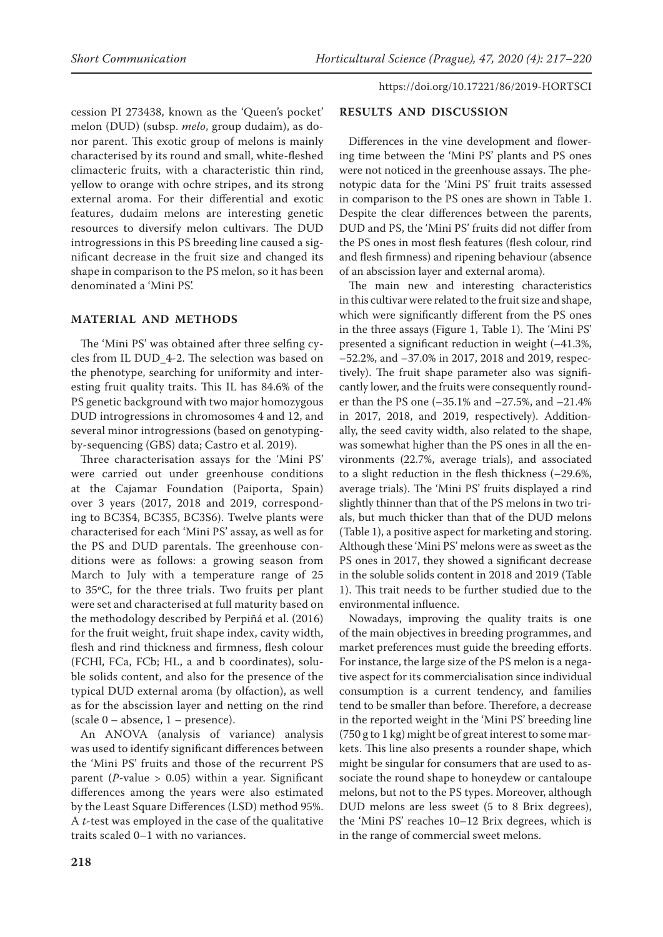cession PI 273438, known as the 'Queen's pocket' melon (DUD) (subsp. *melo*, group dudaim), as donor parent. This exotic group of melons is mainly characterised by its round and small, white-fleshed climacteric fruits, with a characteristic thin rind, yellow to orange with ochre stripes, and its strong external aroma. For their differential and exotic features, dudaim melons are interesting genetic resources to diversify melon cultivars. The DUD introgressions in this PS breeding line caused a significant decrease in the fruit size and changed its shape in comparison to the PS melon, so it has been denominated a 'Mini PS'.

# **MATERIAL AND METHODS**

The 'Mini PS' was obtained after three selfing cycles from IL DUD\_4-2. The selection was based on the phenotype, searching for uniformity and interesting fruit quality traits. This IL has 84.6% of the PS genetic background with two major homozygous DUD introgressions in chromosomes 4 and 12, and several minor introgressions (based on genotypingby-sequencing (GBS) data; Castro et al. 2019).

Three characterisation assays for the 'Mini PS' were carried out under greenhouse conditions at the Cajamar Foundation (Paiporta, Spain) over 3 years (2017, 2018 and 2019, corresponding to BC3S4, BC3S5, BC3S6). Twelve plants were characterised for each 'Mini PS' assay, as well as for the PS and DUD parentals. The greenhouse conditions were as follows: a growing season from March to July with a temperature range of 25 to 35ºC, for the three trials. Two fruits per plant were set and characterised at full maturity based on the methodology described by Perpiñá et al. (2016) for the fruit weight, fruit shape index, cavity width, flesh and rind thickness and firmness, flesh colour (FCHl, FCa, FCb; HL, a and b coordinates), soluble solids content, and also for the presence of the typical DUD external aroma (by olfaction), as well as for the abscission layer and netting on the rind (scale 0 – absence, 1 – presence).

An ANOVA (analysis of variance) analysis was used to identify significant differences between the 'Mini PS' fruits and those of the recurrent PS parent (*P-*value > 0.05) within a year. Significant differences among the years were also estimated by the Least Square Differences (LSD) method 95%. A *t*-test was employed in the case of the qualitative traits scaled 0–1 with no variances.

# **RESULTS AND DISCUSSION**

Differences in the vine development and flowering time between the 'Mini PS' plants and PS ones were not noticed in the greenhouse assays. The phenotypic data for the 'Mini PS' fruit traits assessed in comparison to the PS ones are shown in Table 1. Despite the clear differences between the parents, DUD and PS, the 'Mini PS' fruits did not differ from the PS ones in most flesh features (flesh colour, rind and flesh firmness) and ripening behaviour (absence of an abscission layer and external aroma).

The main new and interesting characteristics in this cultivar were related to the fruit size and shape, which were significantly different from the PS ones in the three assays (Figure 1, Table 1). The 'Mini PS' presented a significant reduction in weight (–41.3%, –52.2%, and –37.0% in 2017, 2018 and 2019, respectively). The fruit shape parameter also was significantly lower, and the fruits were consequently rounder than the PS one (–35.1% and –27.5%, and –21.4% in 2017, 2018, and 2019, respectively). Additionally, the seed cavity width, also related to the shape, was somewhat higher than the PS ones in all the environments (22.7%, average trials), and associated to a slight reduction in the flesh thickness (–29.6%, average trials). The 'Mini PS' fruits displayed a rind slightly thinner than that of the PS melons in two trials, but much thicker than that of the DUD melons (Table 1), a positive aspect for marketing and storing. Although these 'Mini PS' melons were as sweet as the PS ones in 2017, they showed a significant decrease in the soluble solids content in 2018 and 2019 (Table 1). This trait needs to be further studied due to the environmental influence.

Nowadays, improving the quality traits is one of the main objectives in breeding programmes, and market preferences must guide the breeding efforts. For instance, the large size of the PS melon is a negative aspect for its commercialisation since individual consumption is a current tendency, and families tend to be smaller than before. Therefore, a decrease in the reported weight in the 'Mini PS' breeding line (750 g to 1 kg) might be of great interest to some markets. This line also presents a rounder shape, which might be singular for consumers that are used to associate the round shape to honeydew or cantaloupe melons, but not to the PS types. Moreover, although DUD melons are less sweet (5 to 8 Brix degrees), the 'Mini PS' reaches 10–12 Brix degrees, which is in the range of commercial sweet melons.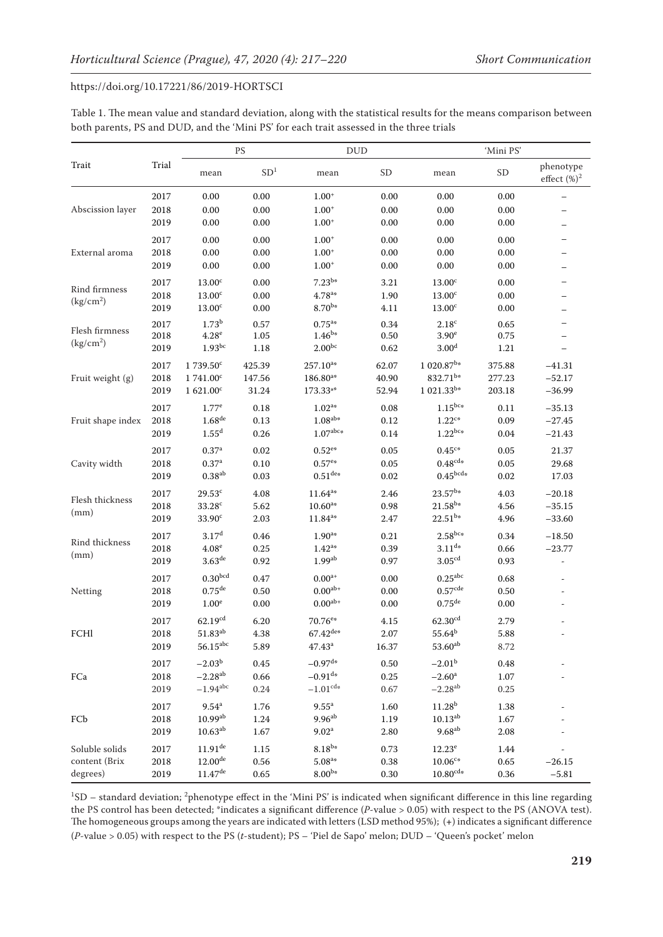| Trait                                   | Trial | PS                     |                 | $\rm DUD$              |            | 'Mini PS'              |           |                              |
|-----------------------------------------|-------|------------------------|-----------------|------------------------|------------|------------------------|-----------|------------------------------|
|                                         |       | mean                   | SD <sup>1</sup> | mean                   | ${\rm SD}$ | mean                   | <b>SD</b> | phenotype<br>effect $(\%)^2$ |
| Abscission layer                        | 2017  | 0.00                   | 0.00            | $1.00^{+}$             | 0.00       | 0.00                   | 0.00      | $\qquad \qquad -$            |
|                                         | 2018  | 0.00                   | 0.00            | $1.00^{+}$             | $0.00\,$   | 0.00                   | 0.00      | -                            |
|                                         | 2019  | 0.00                   | 0.00            | $1.00^{+}$             | $0.00\,$   | 0.00                   | 0.00      | -                            |
|                                         | 2017  | 0.00                   | 0.00            | $1.00^{+}$             | 0.00       | 0.00                   | 0.00      | -                            |
| External aroma                          | 2018  | 0.00                   | 0.00            | $1.00^{+}$             | 0.00       | 0.00                   | 0.00      |                              |
|                                         | 2019  | 0.00                   | 0.00            | $1.00^{+}$             | $0.00\,$   | 0.00                   | 0.00      |                              |
| Rind firmness<br>(kg/cm <sup>2</sup> )  | 2017  | 13.00 <sup>c</sup>     | 0.00            | $7.23^{b*}$            | 3.21       | 13.00 <sup>c</sup>     | 0.00      |                              |
|                                         | 2018  | $13.00^{\rm c}$        | 0.00            | $4.78^{a*}$            | 1.90       | $13.00^{\circ}$        | 0.00      |                              |
|                                         | 2019  | 13.00 <sup>c</sup>     | 0.00            | $8.70^{b*}$            | 4.11       | 13.00 <sup>c</sup>     | 0.00      |                              |
| Flesh firmness<br>(kg/cm <sup>2</sup> ) | 2017  | 1.73 <sup>b</sup>      | 0.57            | $0.75^{a*}$            | 0.34       | 2.18 <sup>c</sup>      | 0.65      |                              |
|                                         | 2018  | $4.28^e$               | 1.05            | $1.46^{b*}$            | 0.50       | 3.90 <sup>e</sup>      | 0.75      |                              |
|                                         | 2019  | $1.93^{bc}$            | 1.18            | $2.00^{bc}$            | 0.62       | 3.00 <sup>d</sup>      | 1.21      |                              |
| Fruit weight (g)                        | 2017  | 1739.50 <sup>c</sup>   | 425.39          | 257.10 <sup>a*</sup>   | 62.07      | $1020.87^{b*}$         | 375.88    | $-41.31$                     |
|                                         | 2018  | $1741.00^{\circ}$      | 147.56          | $186.80^{a*}$          | 40.90      | 832.71b*               | 277.23    | $-52.17$                     |
|                                         | 2019  | $1621.00^{\circ}$      | 31.24           | $173.33^{a*}$          | 52.94      | $1021.33^{b*}$         | 203.18    | $-36.99$                     |
| Fruit shape index                       | 2017  | $1.77^e$               | 0.18            | $1.02^{a*}$            | 0.08       | $1.15^{bc*}$           | 0.11      | $-35.13$                     |
|                                         | 2018  | $1.68$ <sup>de</sup>   | 0.13            | $1.08^{ab*}$           | 0.12       | $1.22^{c*}$            | 0.09      | $-27.45$                     |
|                                         | 2019  | 1.55 <sup>d</sup>      | 0.26            | $1.07^{\mathrm{abc}*}$ | 0.14       | $1.22^{bc*}$           | 0.04      | $-21.43$                     |
| Cavity width                            | 2017  | 0.37 <sup>a</sup>      | 0.02            | $0.52^{e*}$            | 0.05       | $0.45c*$               | 0.05      | 21.37                        |
|                                         | 2018  | $0.37^{a}$             | 0.10            | $0.57^{e*}$            | 0.05       | $0.48^{\text{cd}*}$    | 0.05      | 29.68                        |
|                                         | 2019  | $0.38^{ab}$            | 0.03            | $0.51^{\text{de}}$     | 0.02       | $0.45^{\mathrm{bcd}*}$ | 0.02      | 17.03                        |
| Flesh thickness<br>(mm)                 | 2017  | $29.53^c$              | 4.08            | $11.64^{a*}$           | 2.46       | $23.57^{b*}$           | 4.03      | $-20.18$                     |
|                                         | 2018  | $33.28^{\rm c}$        | 5.62            | $10.60^{a*}$           | 0.98       | $21.58^{b*}$           | 4.56      | $-35.15$                     |
|                                         | 2019  | $33.90^{\circ}$        | 2.03            | $11.84^{a*}$           | 2.47       | $22.51^{b*}$           | 4.96      | $-33.60$                     |
| Rind thickness<br>(mm)                  | 2017  | 3.17 <sup>d</sup>      | 0.46            | $1.90^{a*}$            | 0.21       | $2.58^{b c_*}$         | 0.34      | $-18.50$                     |
|                                         | 2018  | $4.08^{\rm e}$         | 0.25            | $1.42^{a*}$            | 0.39       | $3.11^{d*}$            | 0.66      | $-23.77$                     |
|                                         | 2019  | $3.63$ de              | 0.92            | 1.99 <sup>ab</sup>     | 0.97       | 3.05 <sup>cd</sup>     | 0.93      | $\overline{\phantom{a}}$     |
| Netting                                 | 2017  | 0.30 <sup>bcd</sup>    | 0.47            | $0.00^{a+}$            | $0.00\,$   | $0.25$ abc             | 0.68      | $\overline{a}$               |
|                                         | 2018  | $0.75$ <sup>de</sup>   | 0.50            | $0.00^{ab+}$           | $0.00\,$   | $0.57$ cde             | 0.50      | $\overline{\phantom{m}}$     |
|                                         | 2019  | 1.00 <sup>e</sup>      | 0.00            | $0.00^{ab+}$           | $0.00\,$   | $0.75$ <sup>de</sup>   | 0.00      |                              |
| FCHI                                    | 2017  | $62.19^{cd}$           | 6.20            | $70.76e*$              | 4.15       | 62.30 <sup>cd</sup>    | 2.79      |                              |
|                                         | 2018  | 51.83 <sup>ab</sup>    | 4.38            | $67.42$ <sup>de*</sup> | 2.07       | $55.64^{b}$            | 5.88      |                              |
|                                         | 2019  | $56.15$ <sup>abc</sup> | 5.89            | $47.43^a$              | 16.37      | $53.60^{ab}$           | 8.72      |                              |
| FCa                                     | 2017  | $-2.03^{\rm b}$        | 0.45            | $-0.97$ <sup>d*</sup>  | 0.50       | $-2.01^{\rm b}$        | 0.48      |                              |
|                                         | 2018  | $-2.28^{ab}$           | 0.66            | $-0.91^{d*}$           | 0.25       | $-2.60^{\rm a}$        | 1.07      |                              |
|                                         | 2019  | $-1.94$ <sup>abc</sup> | 0.24            | $-1.01^{\text{cd}*}$   | 0.67       | $-2.28^{ab}$           | 0.25      |                              |
| FCb                                     | 2017  | $9.54^{\mathrm{a}}$    | 1.76            | 9.55 <sup>a</sup>      | 1.60       | 11.28 <sup>b</sup>     | 1.38      |                              |
|                                         | 2018  | $10.99^{ab}$           | 1.24            | $9.96^{ab}$            | 1.19       | $10.13^{ab}$           | 1.67      |                              |
|                                         | 2019  | $10.63^{ab}$           | 1.67            | 9.02 <sup>a</sup>      | $2.80\,$   | $9.68^{ab}$            | 2.08      |                              |
| Soluble solids                          | 2017  | $11.91$ <sup>de</sup>  | 1.15            | $8.18^{b*}$            | 0.73       | $12.23^e$              | 1.44      |                              |
| content (Brix                           | 2018  | $12.00$ de             | 0.56            | $5.08^{a*}$            | 0.38       | $10.06c*$              | 0.65      | $-26.15$                     |
| degrees)                                | 2019  | $11.47^{\text{de}}$    | 0.65            | $8.00^{b*}$            | $0.30\,$   | $10.80^{cd*}$          | $0.36\,$  | $-5.81$                      |

Table 1. The mean value and standard deviation, along with the statistical results for the means comparison between both parents, PS and DUD, and the 'Mini PS' for each trait assessed in the three trials

 ${}^{1}SD$  – standard deviation; <sup>2</sup>phenotype effect in the 'Mini PS' is indicated when significant difference in this line regarding the PS control has been detected; \*indicates a significant difference (*P*-value > 0.05) with respect to the PS (ANOVA test). The homogeneous groups among the years are indicated with letters (LSD method 95%); (**+**) indicates a significant difference (*P-*value > 0.05) with respect to the PS (*t*-student); PS – 'Piel de Sapo' melon; DUD – 'Queen's pocket' melon